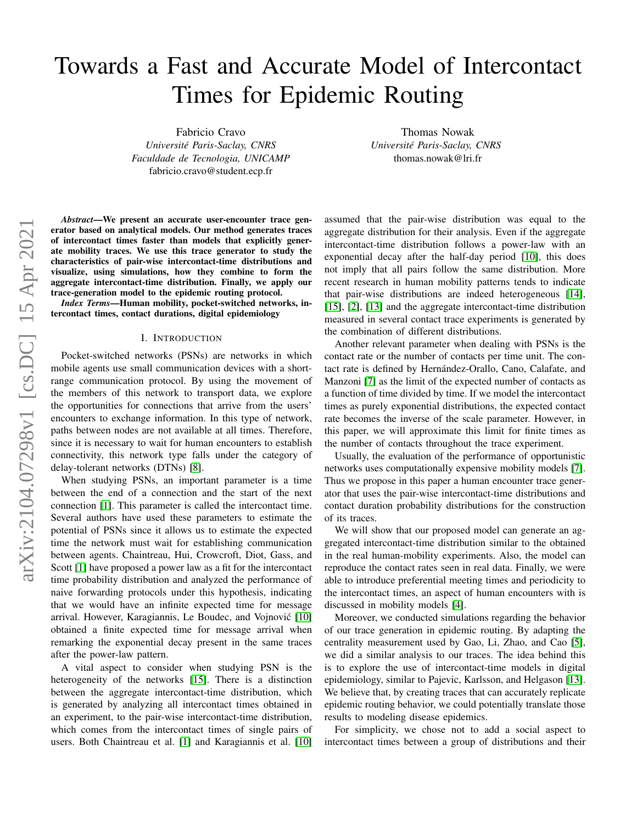# Towards a Fast and Accurate Model of Intercontact Times for Epidemic Routing

Fabricio Cravo *Universite Paris-Saclay, CNRS ´ Faculdade de Tecnologia, UNICAMP* fabricio.cravo@student.ecp.fr

Thomas Nowak *Universite Paris-Saclay, CNRS ´* thomas.nowak@lri.fr

*Abstract*—We present an accurate user-encounter trace generator based on analytical models. Our method generates traces of intercontact times faster than models that explicitly generate mobility traces. We use this trace generator to study the characteristics of pair-wise intercontact-time distributions and visualize, using simulations, how they combine to form the aggregate intercontact-time distribution. Finally, we apply our trace-generation model to the epidemic routing protocol.

*Index Terms*—Human mobility, pocket-switched networks, intercontact times, contact durations, digital epidemiology

## I. INTRODUCTION

Pocket-switched networks (PSNs) are networks in which mobile agents use small communication devices with a shortrange communication protocol. By using the movement of the members of this network to transport data, we explore the opportunities for connections that arrive from the users' encounters to exchange information. In this type of network, paths between nodes are not available at all times. Therefore, since it is necessary to wait for human encounters to establish connectivity, this network type falls under the category of delay-tolerant networks (DTNs) [\[8\]](#page-5-0).

When studying PSNs, an important parameter is a time between the end of a connection and the start of the next connection [\[1\]](#page-5-1). This parameter is called the intercontact time. Several authors have used these parameters to estimate the potential of PSNs since it allows us to estimate the expected time the network must wait for establishing communication between agents. Chaintreau, Hui, Crowcroft, Diot, Gass, and Scott [\[1\]](#page-5-1) have proposed a power law as a fit for the intercontact time probability distribution and analyzed the performance of naive forwarding protocols under this hypothesis, indicating that we would have an infinite expected time for message arrival. However, Karagiannis, Le Boudec, and Vojnovic [\[10\]](#page-5-2) ´ obtained a finite expected time for message arrival when remarking the exponential decay present in the same traces after the power-law pattern.

A vital aspect to consider when studying PSN is the heterogeneity of the networks [\[15\]](#page-5-3). There is a distinction between the aggregate intercontact-time distribution, which is generated by analyzing all intercontact times obtained in an experiment, to the pair-wise intercontact-time distribution, which comes from the intercontact times of single pairs of users. Both Chaintreau et al. [\[1\]](#page-5-1) and Karagiannis et al. [\[10\]](#page-5-2)

assumed that the pair-wise distribution was equal to the aggregate distribution for their analysis. Even if the aggregate intercontact-time distribution follows a power-law with an exponential decay after the half-day period [\[10\]](#page-5-2), this does not imply that all pairs follow the same distribution. More recent research in human mobility patterns tends to indicate that pair-wise distributions are indeed heterogeneous [\[14\]](#page-5-4), [\[15\]](#page-5-3), [\[2\]](#page-5-5), [\[13\]](#page-5-6) and the aggregate intercontact-time distribution measured in several contact trace experiments is generated by the combination of different distributions.

Another relevant parameter when dealing with PSNs is the contact rate or the number of contacts per time unit. The contact rate is defined by Hernández-Orallo, Cano, Calafate, and Manzoni [\[7\]](#page-5-7) as the limit of the expected number of contacts as a function of time divided by time. If we model the intercontact times as purely exponential distributions, the expected contact rate becomes the inverse of the scale parameter. However, in this paper, we will approximate this limit for finite times as the number of contacts throughout the trace experiment.

Usually, the evaluation of the performance of opportunistic networks uses computationally expensive mobility models [\[7\]](#page-5-7). Thus we propose in this paper a human encounter trace generator that uses the pair-wise intercontact-time distributions and contact duration probability distributions for the construction of its traces.

We will show that our proposed model can generate an aggregated intercontact-time distribution similar to the obtained in the real human-mobility experiments. Also, the model can reproduce the contact rates seen in real data. Finally, we were able to introduce preferential meeting times and periodicity to the intercontact times, an aspect of human encounters with is discussed in mobility models [\[4\]](#page-5-8).

Moreover, we conducted simulations regarding the behavior of our trace generation in epidemic routing. By adapting the centrality measurement used by Gao, Li, Zhao, and Cao [\[5\]](#page-5-9), we did a similar analysis to our traces. The idea behind this is to explore the use of intercontact-time models in digital epidemiology, similar to Pajevic, Karlsson, and Helgason [\[13\]](#page-5-6). We believe that, by creating traces that can accurately replicate epidemic routing behavior, we could potentially translate those results to modeling disease epidemics.

For simplicity, we chose not to add a social aspect to intercontact times between a group of distributions and their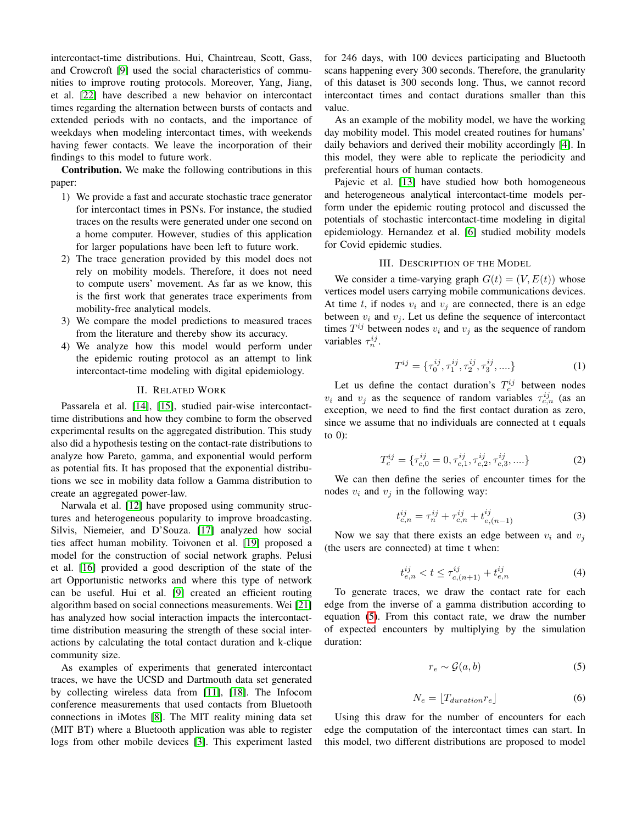intercontact-time distributions. Hui, Chaintreau, Scott, Gass, and Crowcroft [\[9\]](#page-5-10) used the social characteristics of communities to improve routing protocols. Moreover, Yang, Jiang, et al. [\[22\]](#page-5-11) have described a new behavior on intercontact times regarding the alternation between bursts of contacts and extended periods with no contacts, and the importance of weekdays when modeling intercontact times, with weekends having fewer contacts. We leave the incorporation of their findings to this model to future work.

Contribution. We make the following contributions in this paper:

- 1) We provide a fast and accurate stochastic trace generator for intercontact times in PSNs. For instance, the studied traces on the results were generated under one second on a home computer. However, studies of this application for larger populations have been left to future work.
- 2) The trace generation provided by this model does not rely on mobility models. Therefore, it does not need to compute users' movement. As far as we know, this is the first work that generates trace experiments from mobility-free analytical models.
- 3) We compare the model predictions to measured traces from the literature and thereby show its accuracy.
- 4) We analyze how this model would perform under the epidemic routing protocol as an attempt to link intercontact-time modeling with digital epidemiology.

## II. RELATED WORK

Passarela et al. [\[14\]](#page-5-4), [\[15\]](#page-5-3), studied pair-wise intercontacttime distributions and how they combine to form the observed experimental results on the aggregated distribution. This study also did a hypothesis testing on the contact-rate distributions to analyze how Pareto, gamma, and exponential would perform as potential fits. It has proposed that the exponential distributions we see in mobility data follow a Gamma distribution to create an aggregated power-law.

Narwala et al. [\[12\]](#page-5-12) have proposed using community structures and heterogeneous popularity to improve broadcasting. Silvis, Niemeier, and D'Souza. [\[17\]](#page-5-13) analyzed how social ties affect human mobility. Toivonen et al. [\[19\]](#page-5-14) proposed a model for the construction of social network graphs. Pelusi et al. [\[16\]](#page-5-15) provided a good description of the state of the art Opportunistic networks and where this type of network can be useful. Hui et al. [\[9\]](#page-5-10) created an efficient routing algorithm based on social connections measurements. Wei [\[21\]](#page-5-16) has analyzed how social interaction impacts the intercontacttime distribution measuring the strength of these social interactions by calculating the total contact duration and k-clique community size.

As examples of experiments that generated intercontact traces, we have the UCSD and Dartmouth data set generated by collecting wireless data from [\[11\]](#page-5-17), [\[18\]](#page-5-18). The Infocom conference measurements that used contacts from Bluetooth connections in iMotes [\[8\]](#page-5-0). The MIT reality mining data set (MIT BT) where a Bluetooth application was able to register logs from other mobile devices [\[3\]](#page-5-19). This experiment lasted for 246 days, with 100 devices participating and Bluetooth scans happening every 300 seconds. Therefore, the granularity of this dataset is 300 seconds long. Thus, we cannot record intercontact times and contact durations smaller than this value.

As an example of the mobility model, we have the working day mobility model. This model created routines for humans' daily behaviors and derived their mobility accordingly [\[4\]](#page-5-8). In this model, they were able to replicate the periodicity and preferential hours of human contacts.

Pajevic et al. [\[13\]](#page-5-6) have studied how both homogeneous and heterogeneous analytical intercontact-time models perform under the epidemic routing protocol and discussed the potentials of stochastic intercontact-time modeling in digital epidemiology. Hernandez et al. [\[6\]](#page-5-20) studied mobility models for Covid epidemic studies.

## III. DESCRIPTION OF THE MODEL

We consider a time-varying graph  $G(t) = (V, E(t))$  whose vertices model users carrying mobile communications devices. At time t, if nodes  $v_i$  and  $v_j$  are connected, there is an edge between  $v_i$  and  $v_j$ . Let us define the sequence of intercontact times  $T^{ij}$  between nodes  $v_i$  and  $v_j$  as the sequence of random variables  $\tau_n^{ij}$ .

$$
T^{ij} = \{\tau_0^{ij}, \tau_1^{ij}, \tau_2^{ij}, \tau_3^{ij}, \dots\}
$$
 (1)

Let us define the contact duration's  $T_c^{ij}$  between nodes  $v_i$  and  $v_j$  as the sequence of random variables  $\tau_{c,n}^{ij}$  (as an exception, we need to find the first contact duration as zero, since we assume that no individuals are connected at t equals to  $0$ :

$$
T_c^{ij} = \{\tau_{c,0}^{ij} = 0, \tau_{c,1}^{ij}, \tau_{c,2}^{ij}, \tau_{c,3}^{ij}, \dots\}
$$
 (2)

We can then define the series of encounter times for the nodes  $v_i$  and  $v_j$  in the following way:

$$
t_{e,n}^{ij} = \tau_n^{ij} + \tau_{c,n}^{ij} + t_{e,(n-1)}^{ij}
$$
 (3)

Now we say that there exists an edge between  $v_i$  and  $v_j$ (the users are connected) at time t when:

$$
t_{e,n}^{ij} < t \le \tau_{c,(n+1)}^{ij} + t_{e,n}^{ij} \tag{4}
$$

To generate traces, we draw the contact rate for each edge from the inverse of a gamma distribution according to equation [\(5\)](#page-1-0). From this contact rate, we draw the number of expected encounters by multiplying by the simulation duration:

<span id="page-1-0"></span>
$$
r_e \sim \mathcal{G}(a, b) \tag{5}
$$

$$
N_e = \lfloor T_{duration} r_e \rfloor \tag{6}
$$

Using this draw for the number of encounters for each edge the computation of the intercontact times can start. In this model, two different distributions are proposed to model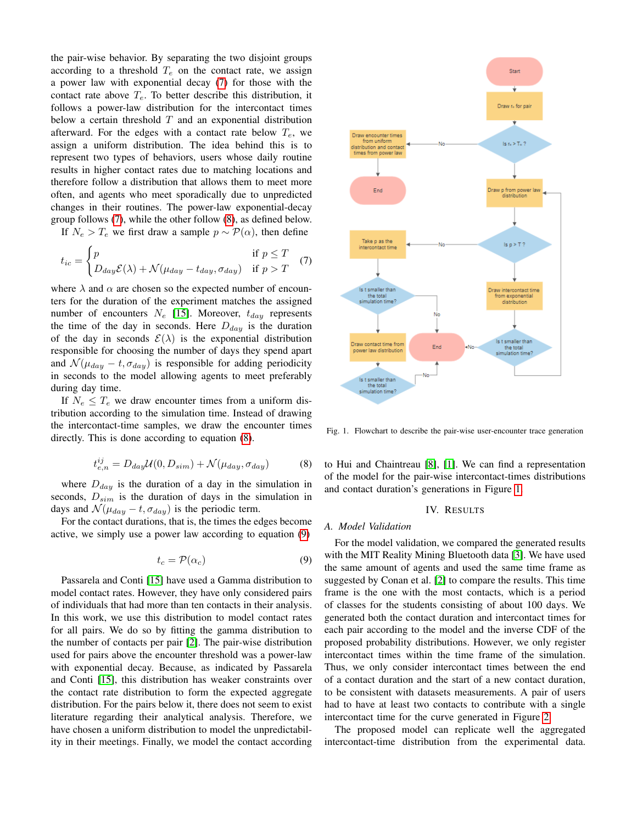the pair-wise behavior. By separating the two disjoint groups according to a threshold  $T_e$  on the contact rate, we assign a power law with exponential decay [\(7\)](#page-2-0) for those with the contact rate above  $T_e$ . To better describe this distribution, it follows a power-law distribution for the intercontact times below a certain threshold  $T$  and an exponential distribution afterward. For the edges with a contact rate below  $T_e$ , we assign a uniform distribution. The idea behind this is to represent two types of behaviors, users whose daily routine results in higher contact rates due to matching locations and therefore follow a distribution that allows them to meet more often, and agents who meet sporadically due to unpredicted changes in their routines. The power-law exponential-decay group follows [\(7\)](#page-2-0), while the other follow [\(8\)](#page-2-1), as defined below.

If  $N_e > T_e$  we first draw a sample  $p \sim \mathcal{P}(\alpha)$ , then define

<span id="page-2-0"></span>
$$
t_{ic} = \begin{cases} p & \text{if } p \le T \\ D_{day} \mathcal{E}(\lambda) + \mathcal{N}(\mu_{day} - t_{day}, \sigma_{day}) & \text{if } p > T \end{cases}
$$
 (7)

where  $\lambda$  and  $\alpha$  are chosen so the expected number of encounters for the duration of the experiment matches the assigned number of encounters  $N_e$  [\[15\]](#page-5-3). Moreover,  $t_{day}$  represents the time of the day in seconds. Here  $D_{day}$  is the duration of the day in seconds  $\mathcal{E}(\lambda)$  is the exponential distribution responsible for choosing the number of days they spend apart and  $\mathcal{N}(\mu_{day} - t, \sigma_{day})$  is responsible for adding periodicity in seconds to the model allowing agents to meet preferably during day time.

If  $N_e \leq T_e$  we draw encounter times from a uniform distribution according to the simulation time. Instead of drawing the intercontact-time samples, we draw the encounter times directly. This is done according to equation [\(8\)](#page-2-1).

<span id="page-2-1"></span>
$$
t_{e,n}^{ij} = D_{day} \mathcal{U}(0, D_{sim}) + \mathcal{N}(\mu_{day}, \sigma_{day})
$$
 (8)

where  $D_{day}$  is the duration of a day in the simulation in seconds,  $D_{sim}$  is the duration of days in the simulation in days and  $\mathcal{N}(\mu_{dav} - t, \sigma_{dav})$  is the periodic term.

For the contact durations, that is, the times the edges become active, we simply use a power law according to equation [\(9\)](#page-2-2)

<span id="page-2-2"></span>
$$
t_c = \mathcal{P}(\alpha_c) \tag{9}
$$

Passarela and Conti [\[15\]](#page-5-3) have used a Gamma distribution to model contact rates. However, they have only considered pairs of individuals that had more than ten contacts in their analysis. In this work, we use this distribution to model contact rates for all pairs. We do so by fitting the gamma distribution to the number of contacts per pair [\[2\]](#page-5-5). The pair-wise distribution used for pairs above the encounter threshold was a power-law with exponential decay. Because, as indicated by Passarela and Conti [\[15\]](#page-5-3), this distribution has weaker constraints over the contact rate distribution to form the expected aggregate distribution. For the pairs below it, there does not seem to exist literature regarding their analytical analysis. Therefore, we have chosen a uniform distribution to model the unpredictability in their meetings. Finally, we model the contact according



<span id="page-2-3"></span>Fig. 1. Flowchart to describe the pair-wise user-encounter trace generation

to Hui and Chaintreau [\[8\]](#page-5-0), [\[1\]](#page-5-1). We can find a representation of the model for the pair-wise intercontact-times distributions and contact duration's generations in Figure [1.](#page-2-3)

#### IV. RESULTS

### *A. Model Validation*

For the model validation, we compared the generated results with the MIT Reality Mining Bluetooth data [\[3\]](#page-5-19). We have used the same amount of agents and used the same time frame as suggested by Conan et al. [\[2\]](#page-5-5) to compare the results. This time frame is the one with the most contacts, which is a period of classes for the students consisting of about 100 days. We generated both the contact duration and intercontact times for each pair according to the model and the inverse CDF of the proposed probability distributions. However, we only register intercontact times within the time frame of the simulation. Thus, we only consider intercontact times between the end of a contact duration and the start of a new contact duration, to be consistent with datasets measurements. A pair of users had to have at least two contacts to contribute with a single intercontact time for the curve generated in Figure [2.](#page-3-0)

The proposed model can replicate well the aggregated intercontact-time distribution from the experimental data.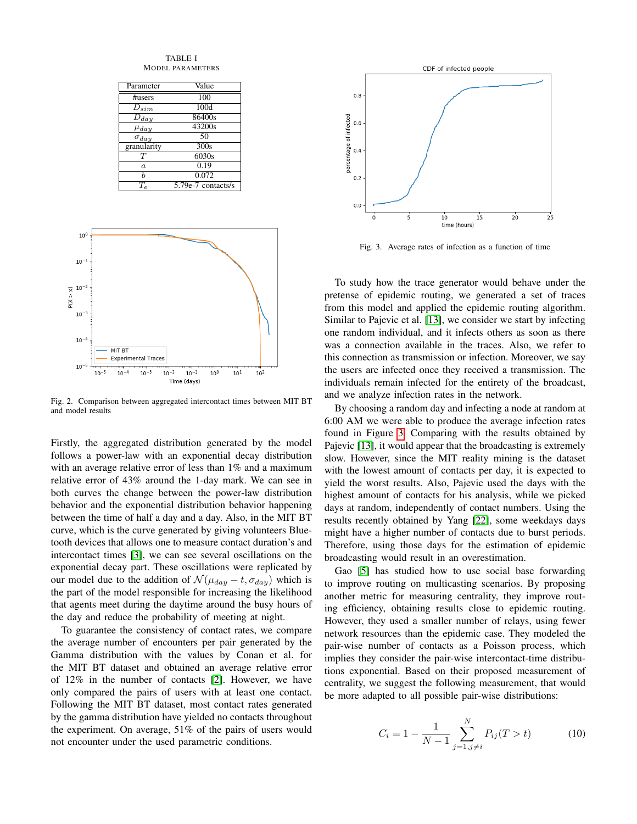TABLE I MODEL PARAMETERS

| Parameter            | Value                |
|----------------------|----------------------|
| #users               | 100                  |
|                      |                      |
| $D_{sim}$            | 100d                 |
| $\overline{D_{day}}$ | 86400s               |
| $\mu_{day}$          | 43200s               |
| $\sigma_{day}$       | 50                   |
| granularity          | 300s                 |
| $\tau$               | 6030s                |
| $\boldsymbol{a}$     | 0.19                 |
| Ь                    | 0.072                |
|                      | $5.79e-7$ contacts/s |



<span id="page-3-0"></span>Fig. 2. Comparison between aggregated intercontact times between MIT BT and model results

Firstly, the aggregated distribution generated by the model follows a power-law with an exponential decay distribution with an average relative error of less than 1% and a maximum relative error of 43% around the 1-day mark. We can see in both curves the change between the power-law distribution behavior and the exponential distribution behavior happening between the time of half a day and a day. Also, in the MIT BT curve, which is the curve generated by giving volunteers Bluetooth devices that allows one to measure contact duration's and intercontact times [\[3\]](#page-5-19), we can see several oscillations on the exponential decay part. These oscillations were replicated by our model due to the addition of  $\mathcal{N}(\mu_{day} - t, \sigma_{day})$  which is the part of the model responsible for increasing the likelihood that agents meet during the daytime around the busy hours of the day and reduce the probability of meeting at night.

To guarantee the consistency of contact rates, we compare the average number of encounters per pair generated by the Gamma distribution with the values by Conan et al. for the MIT BT dataset and obtained an average relative error of 12% in the number of contacts [\[2\]](#page-5-5). However, we have only compared the pairs of users with at least one contact. Following the MIT BT dataset, most contact rates generated by the gamma distribution have yielded no contacts throughout the experiment. On average, 51% of the pairs of users would not encounter under the used parametric conditions.



<span id="page-3-1"></span>Fig. 3. Average rates of infection as a function of time

To study how the trace generator would behave under the pretense of epidemic routing, we generated a set of traces from this model and applied the epidemic routing algorithm. Similar to Pajevic et al. [\[13\]](#page-5-6), we consider we start by infecting one random individual, and it infects others as soon as there was a connection available in the traces. Also, we refer to this connection as transmission or infection. Moreover, we say the users are infected once they received a transmission. The individuals remain infected for the entirety of the broadcast, and we analyze infection rates in the network.

By choosing a random day and infecting a node at random at 6:00 AM we were able to produce the average infection rates found in Figure [3.](#page-3-1) Comparing with the results obtained by Pajevic [\[13\]](#page-5-6), it would appear that the broadcasting is extremely slow. However, since the MIT reality mining is the dataset with the lowest amount of contacts per day, it is expected to yield the worst results. Also, Pajevic used the days with the highest amount of contacts for his analysis, while we picked days at random, independently of contact numbers. Using the results recently obtained by Yang [\[22\]](#page-5-11), some weekdays days might have a higher number of contacts due to burst periods. Therefore, using those days for the estimation of epidemic broadcasting would result in an overestimation.

Gao [\[5\]](#page-5-9) has studied how to use social base forwarding to improve routing on multicasting scenarios. By proposing another metric for measuring centrality, they improve routing efficiency, obtaining results close to epidemic routing. However, they used a smaller number of relays, using fewer network resources than the epidemic case. They modeled the pair-wise number of contacts as a Poisson process, which implies they consider the pair-wise intercontact-time distributions exponential. Based on their proposed measurement of centrality, we suggest the following measurement, that would be more adapted to all possible pair-wise distributions:

<span id="page-3-2"></span>
$$
C_i = 1 - \frac{1}{N-1} \sum_{j=1, j \neq i}^{N} P_{ij}(T > t)
$$
 (10)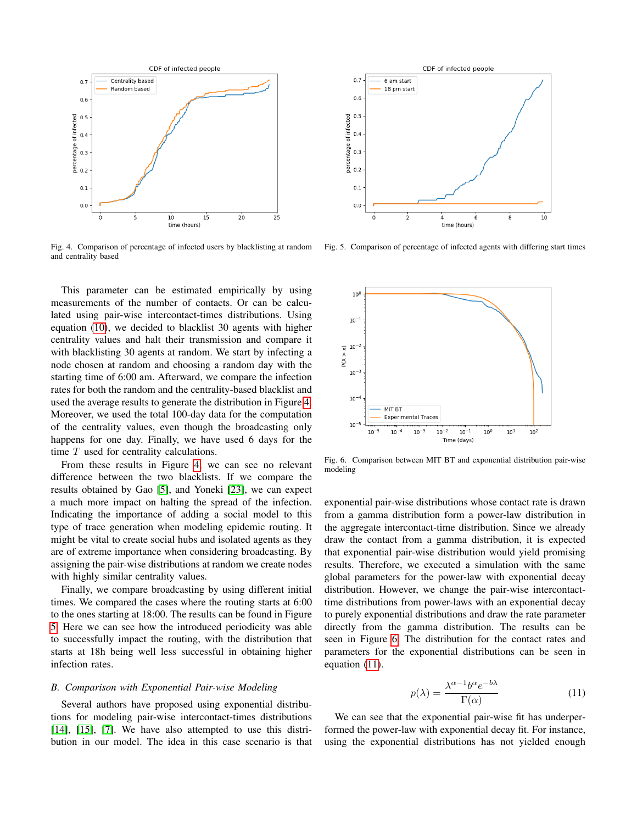

<span id="page-4-0"></span>Fig. 4. Comparison of percentage of infected users by blacklisting at random and centrality based

This parameter can be estimated empirically by using measurements of the number of contacts. Or can be calculated using pair-wise intercontact-times distributions. Using equation [\(10\)](#page-3-2), we decided to blacklist 30 agents with higher centrality values and halt their transmission and compare it with blacklisting 30 agents at random. We start by infecting a node chosen at random and choosing a random day with the starting time of 6:00 am. Afterward, we compare the infection rates for both the random and the centrality-based blacklist and used the average results to generate the distribution in Figure [4.](#page-4-0) Moreover, we used the total 100-day data for the computation of the centrality values, even though the broadcasting only happens for one day. Finally, we have used 6 days for the time  $T$  used for centrality calculations.

From these results in Figure [4,](#page-4-0) we can see no relevant difference between the two blacklists. If we compare the results obtained by Gao [\[5\]](#page-5-9), and Yoneki [\[23\]](#page-5-21), we can expect a much more impact on halting the spread of the infection. Indicating the importance of adding a social model to this type of trace generation when modeling epidemic routing. It might be vital to create social hubs and isolated agents as they are of extreme importance when considering broadcasting. By assigning the pair-wise distributions at random we create nodes with highly similar centrality values.

Finally, we compare broadcasting by using different initial times. We compared the cases where the routing starts at 6:00 to the ones starting at 18:00. The results can be found in Figure [5.](#page-4-1) Here we can see how the introduced periodicity was able to successfully impact the routing, with the distribution that starts at 18h being well less successful in obtaining higher infection rates.

## *B. Comparison with Exponential Pair-wise Modeling*

Several authors have proposed using exponential distributions for modeling pair-wise intercontact-times distributions [\[14\]](#page-5-4), [\[15\]](#page-5-3), [\[7\]](#page-5-7). We have also attempted to use this distribution in our model. The idea in this case scenario is that



<span id="page-4-1"></span>Fig. 5. Comparison of percentage of infected agents with differing start times



<span id="page-4-2"></span>Fig. 6. Comparison between MIT BT and exponential distribution pair-wise modeling

exponential pair-wise distributions whose contact rate is drawn from a gamma distribution form a power-law distribution in the aggregate intercontact-time distribution. Since we already draw the contact from a gamma distribution, it is expected that exponential pair-wise distribution would yield promising results. Therefore, we executed a simulation with the same global parameters for the power-law with exponential decay distribution. However, we change the pair-wise intercontacttime distributions from power-laws with an exponential decay to purely exponential distributions and draw the rate parameter directly from the gamma distribution. The results can be seen in Figure [6.](#page-4-2) The distribution for the contact rates and parameters for the exponential distributions can be seen in equation [\(11\)](#page-4-3).

<span id="page-4-3"></span>
$$
p(\lambda) = \frac{\lambda^{\alpha - 1} b^{\alpha} e^{-b\lambda}}{\Gamma(\alpha)}
$$
 (11)

We can see that the exponential pair-wise fit has underperformed the power-law with exponential decay fit. For instance, using the exponential distributions has not yielded enough